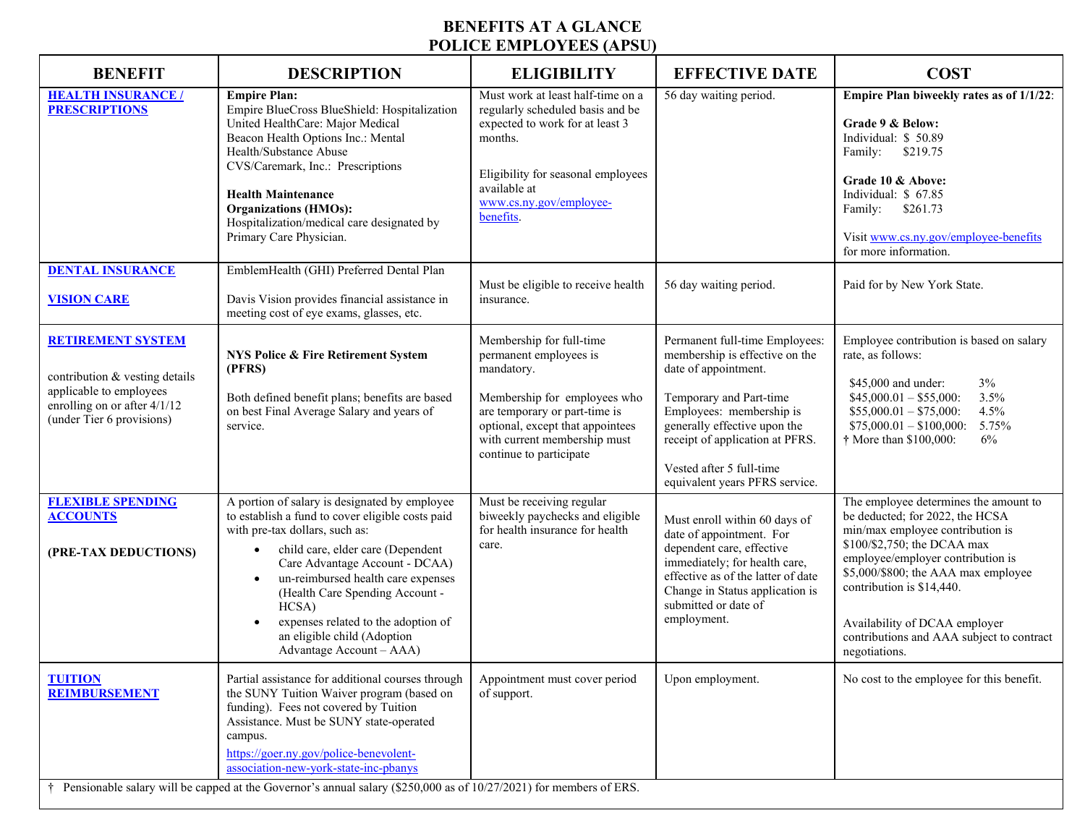## **BENEFITS AT A GLANCE POLICE EMPLOYEES (APSU)**

| <b>BENEFIT</b>                                                                                                                                     | <b>DESCRIPTION</b>                                                                                                                                                                                                                                                                                                                                                                                        | <b>ELIGIBILITY</b>                                                                                                                                                                                                               | <b>EFFECTIVE DATE</b>                                                                                                                                                                                                                                                            | <b>COST</b>                                                                                                                                                                                                                                                                                                                                         |
|----------------------------------------------------------------------------------------------------------------------------------------------------|-----------------------------------------------------------------------------------------------------------------------------------------------------------------------------------------------------------------------------------------------------------------------------------------------------------------------------------------------------------------------------------------------------------|----------------------------------------------------------------------------------------------------------------------------------------------------------------------------------------------------------------------------------|----------------------------------------------------------------------------------------------------------------------------------------------------------------------------------------------------------------------------------------------------------------------------------|-----------------------------------------------------------------------------------------------------------------------------------------------------------------------------------------------------------------------------------------------------------------------------------------------------------------------------------------------------|
| <b>HEALTH INSURANCE /</b><br><b>PRESCRIPTIONS</b>                                                                                                  | <b>Empire Plan:</b><br>Empire BlueCross BlueShield: Hospitalization<br>United HealthCare: Major Medical<br>Beacon Health Options Inc.: Mental<br>Health/Substance Abuse<br>CVS/Caremark, Inc.: Prescriptions<br><b>Health Maintenance</b><br><b>Organizations (HMOs):</b><br>Hospitalization/medical care designated by<br>Primary Care Physician.                                                        | Must work at least half-time on a<br>regularly scheduled basis and be<br>expected to work for at least 3<br>months.<br>Eligibility for seasonal employees<br>available at<br>www.cs.ny.gov/employee-<br>benefits.                | 56 day waiting period.                                                                                                                                                                                                                                                           | Empire Plan biweekly rates as of 1/1/22:<br>Grade 9 & Below:<br>Individual: \$50.89<br>\$219.75<br>Family:<br>Grade 10 & Above:<br>Individual: \$ 67.85<br>\$261.73<br>Family:<br>Visit www.cs.ny.gov/employee-benefits<br>for more information.                                                                                                    |
| <b>DENTAL INSURANCE</b><br><b>VISION CARE</b>                                                                                                      | EmblemHealth (GHI) Preferred Dental Plan<br>Davis Vision provides financial assistance in<br>meeting cost of eye exams, glasses, etc.                                                                                                                                                                                                                                                                     | Must be eligible to receive health<br>insurance.                                                                                                                                                                                 | 56 day waiting period.                                                                                                                                                                                                                                                           | Paid for by New York State.                                                                                                                                                                                                                                                                                                                         |
| <b>RETIREMENT SYSTEM</b><br>contribution & vesting details<br>applicable to employees<br>enrolling on or after 4/1/12<br>(under Tier 6 provisions) | NYS Police & Fire Retirement System<br>(PFRS)<br>Both defined benefit plans; benefits are based<br>on best Final Average Salary and years of<br>service.                                                                                                                                                                                                                                                  | Membership for full-time<br>permanent employees is<br>mandatory.<br>Membership for employees who<br>are temporary or part-time is<br>optional, except that appointees<br>with current membership must<br>continue to participate | Permanent full-time Employees:<br>membership is effective on the<br>date of appointment.<br>Temporary and Part-time<br>Employees: membership is<br>generally effective upon the<br>receipt of application at PFRS.<br>Vested after 5 full-time<br>equivalent years PFRS service. | Employee contribution is based on salary<br>rate, as follows:<br>$3\%$<br>\$45,000 and under:<br>$$45,000.01 - $55,000$ :<br>3.5%<br>$$55,000.01 - $75,000$ :<br>4.5%<br>$$75,000.01 - $100,000$ : 5.75%<br>† More than \$100,000:<br>6%                                                                                                            |
| <b>FLEXIBLE SPENDING</b><br><b>ACCOUNTS</b><br>(PRE-TAX DEDUCTIONS)                                                                                | A portion of salary is designated by employee<br>to establish a fund to cover eligible costs paid<br>with pre-tax dollars, such as:<br>child care, elder care (Dependent<br>Care Advantage Account - DCAA)<br>un-reimbursed health care expenses<br>(Health Care Spending Account -<br>HCSA)<br>expenses related to the adoption of<br>an eligible child (Adoption<br>Advantage Account - AAA)            | Must be receiving regular<br>biweekly paychecks and eligible<br>for health insurance for health<br>care.                                                                                                                         | Must enroll within 60 days of<br>date of appointment. For<br>dependent care, effective<br>immediately; for health care,<br>effective as of the latter of date<br>Change in Status application is<br>submitted or date of<br>employment.                                          | The employee determines the amount to<br>be deducted; for 2022, the HCSA<br>min/max employee contribution is<br>\$100/\$2,750; the DCAA max<br>employee/employer contribution is<br>\$5,000/\$800; the AAA max employee<br>contribution is \$14,440.<br>Availability of DCAA employer<br>contributions and AAA subject to contract<br>negotiations. |
| <b>TUITION</b><br><b>REIMBURSEMENT</b>                                                                                                             | Partial assistance for additional courses through<br>the SUNY Tuition Waiver program (based on<br>funding). Fees not covered by Tuition<br>Assistance. Must be SUNY state-operated<br>campus.<br>https://goer.ny.gov/police-benevolent-<br>association-new-york-state-inc-pbanys<br>Pensionable salary will be capped at the Governor's annual salary $(\$250,000$ as of $10/27/2021$ for members of ERS. | Appointment must cover period<br>of support.                                                                                                                                                                                     | Upon employment.                                                                                                                                                                                                                                                                 | No cost to the employee for this benefit.                                                                                                                                                                                                                                                                                                           |